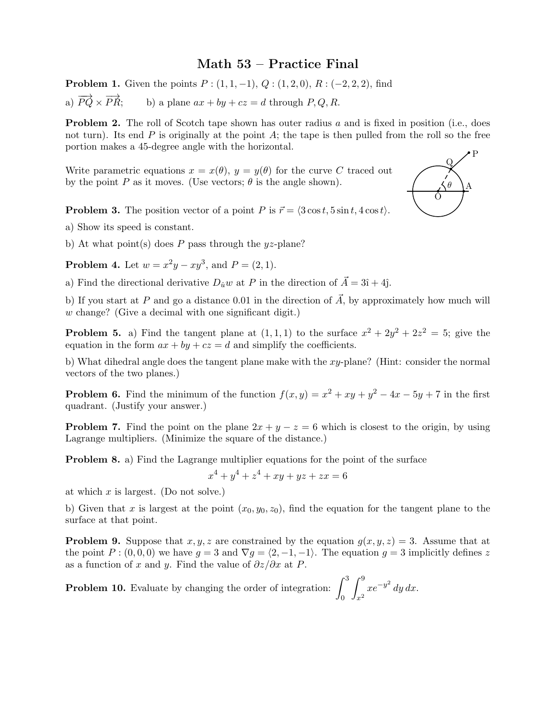## Math 53 – Practice Final

**Problem 1.** Given the points  $P: (1, 1, -1), Q: (1, 2, 0), R: (-2, 2, 2),$  find a)  $\overrightarrow{PO} \times \overrightarrow{PR}$ : b) a plane  $ax + by + cz = d$  through P, Q, R.

**Problem 2.** The roll of Scotch tape shown has outer radius a and is fixed in position (i.e., does not turn). Its end  $P$  is originally at the point  $A$ ; the tape is then pulled from the roll so the free portion makes a 45-degree angle with the horizontal.

Write parametric equations  $x = x(\theta)$ ,  $y = y(\theta)$  for the curve C traced out by the point P as it moves. (Use vectors;  $\theta$  is the angle shown).



**Problem 3.** The position vector of a point P is  $\vec{r} = \langle 3 \cos t, 5 \sin t, 4 \cos t \rangle$ .

a) Show its speed is constant.

b) At what point(s) does P pass through the  $yz$ -plane?

**Problem 4.** Let  $w = x^2y - xy^3$ , and  $P = (2, 1)$ .

a) Find the directional derivative  $D_{\hat{u}}w$  at P in the direction of  $\vec{A} = 3\hat{i} + 4\hat{j}$ .

b) If you start at P and go a distance 0.01 in the direction of  $\vec{A}$ , by approximately how much will w change? (Give a decimal with one significant digit.)

**Problem 5.** a) Find the tangent plane at  $(1,1,1)$  to the surface  $x^2 + 2y^2 + 2z^2 = 5$ ; give the equation in the form  $ax + by + cz = d$  and simplify the coefficients.

b) What dihedral angle does the tangent plane make with the  $xy$ -plane? (Hint: consider the normal vectors of the two planes.)

**Problem 6.** Find the minimum of the function  $f(x, y) = x^2 + xy + y^2 - 4x - 5y + 7$  in the first quadrant. (Justify your answer.)

**Problem 7.** Find the point on the plane  $2x + y - z = 6$  which is closest to the origin, by using Lagrange multipliers. (Minimize the square of the distance.)

Problem 8. a) Find the Lagrange multiplier equations for the point of the surface

$$
x^4 + y^4 + z^4 + xy + yz + zx = 6
$$

at which  $x$  is largest. (Do not solve.)

b) Given that x is largest at the point  $(x_0, y_0, z_0)$ , find the equation for the tangent plane to the surface at that point.

**Problem 9.** Suppose that x, y, z are constrained by the equation  $q(x, y, z) = 3$ . Assume that at the point P :  $(0, 0, 0)$  we have  $q = 3$  and  $\nabla q = \langle 2, -1, -1 \rangle$ . The equation  $q = 3$  implicitly defines z as a function of x and y. Find the value of  $\partial z/\partial x$  at P.

**Problem 10.** Evaluate by changing the order of integration:  $\int_0^3$  $\int_0^9$  $x^2$  $xe^{-y^2} dy dx$ .